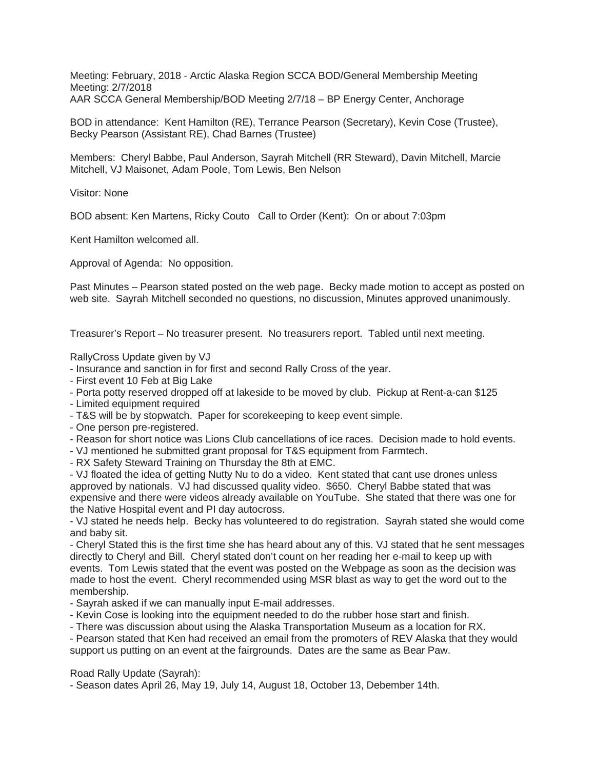Meeting: February, 2018 - Arctic Alaska Region SCCA BOD/General Membership Meeting Meeting: 2/7/2018 AAR SCCA General Membership/BOD Meeting 2/7/18 – BP Energy Center, Anchorage

BOD in attendance: Kent Hamilton (RE), Terrance Pearson (Secretary), Kevin Cose (Trustee), Becky Pearson (Assistant RE), Chad Barnes (Trustee)

Members: Cheryl Babbe, Paul Anderson, Sayrah Mitchell (RR Steward), Davin Mitchell, Marcie Mitchell, VJ Maisonet, Adam Poole, Tom Lewis, Ben Nelson

Visitor: None

BOD absent: Ken Martens, Ricky Couto Call to Order (Kent): On or about 7:03pm

Kent Hamilton welcomed all.

Approval of Agenda: No opposition.

Past Minutes – Pearson stated posted on the web page. Becky made motion to accept as posted on web site. Sayrah Mitchell seconded no questions, no discussion, Minutes approved unanimously.

Treasurer's Report – No treasurer present. No treasurers report. Tabled until next meeting.

RallyCross Update given by VJ

- Insurance and sanction in for first and second Rally Cross of the year.
- First event 10 Feb at Big Lake
- Porta potty reserved dropped off at lakeside to be moved by club. Pickup at Rent-a-can \$125
- Limited equipment required
- T&S will be by stopwatch. Paper for scorekeeping to keep event simple.
- One person pre-registered.
- Reason for short notice was Lions Club cancellations of ice races. Decision made to hold events.
- VJ mentioned he submitted grant proposal for T&S equipment from Farmtech.
- RX Safety Steward Training on Thursday the 8th at EMC.

- VJ floated the idea of getting Nutty Nu to do a video. Kent stated that cant use drones unless approved by nationals. VJ had discussed quality video. \$650. Cheryl Babbe stated that was expensive and there were videos already available on YouTube. She stated that there was one for the Native Hospital event and PI day autocross.

- VJ stated he needs help. Becky has volunteered to do registration. Sayrah stated she would come and baby sit.

- Cheryl Stated this is the first time she has heard about any of this. VJ stated that he sent messages directly to Cheryl and Bill. Cheryl stated don't count on her reading her e-mail to keep up with events. Tom Lewis stated that the event was posted on the Webpage as soon as the decision was made to host the event. Cheryl recommended using MSR blast as way to get the word out to the membership.

- Sayrah asked if we can manually input E-mail addresses.
- Kevin Cose is looking into the equipment needed to do the rubber hose start and finish.
- There was discussion about using the Alaska Transportation Museum as a location for RX.

- Pearson stated that Ken had received an email from the promoters of REV Alaska that they would support us putting on an event at the fairgrounds. Dates are the same as Bear Paw.

Road Rally Update (Sayrah):

- Season dates April 26, May 19, July 14, August 18, October 13, Debember 14th.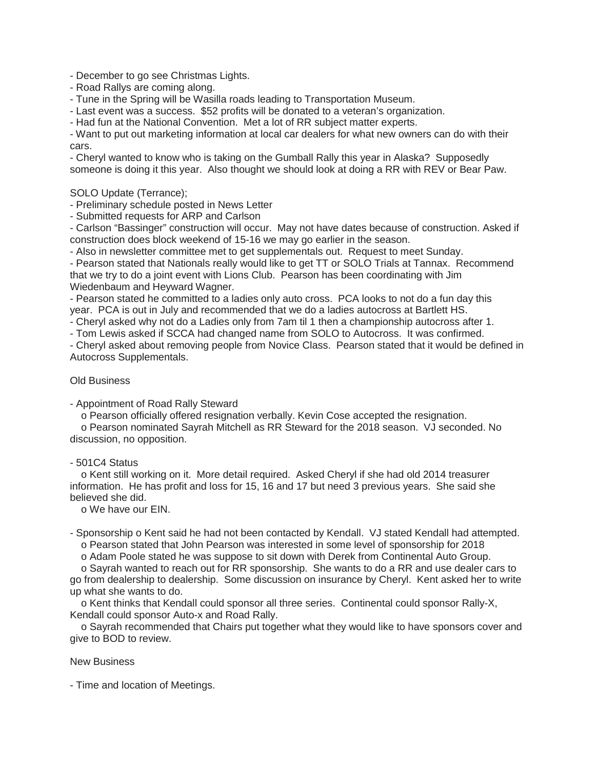- December to go see Christmas Lights.

- Road Rallys are coming along.

- Tune in the Spring will be Wasilla roads leading to Transportation Museum.

- Last event was a success. \$52 profits will be donated to a veteran's organization.

- Had fun at the National Convention. Met a lot of RR subject matter experts.

- Want to put out marketing information at local car dealers for what new owners can do with their cars.

- Cheryl wanted to know who is taking on the Gumball Rally this year in Alaska? Supposedly someone is doing it this year. Also thought we should look at doing a RR with REV or Bear Paw.

## SOLO Update (Terrance);

- Preliminary schedule posted in News Letter

- Submitted requests for ARP and Carlson

- Carlson "Bassinger" construction will occur. May not have dates because of construction. Asked if construction does block weekend of 15-16 we may go earlier in the season.

- Also in newsletter committee met to get supplementals out. Request to meet Sunday.

- Pearson stated that Nationals really would like to get TT or SOLO Trials at Tannax. Recommend that we try to do a joint event with Lions Club. Pearson has been coordinating with Jim Wiedenbaum and Heyward Wagner.

- Pearson stated he committed to a ladies only auto cross. PCA looks to not do a fun day this year. PCA is out in July and recommended that we do a ladies autocross at Bartlett HS.

- Cheryl asked why not do a Ladies only from 7am til 1 then a championship autocross after 1.

- Tom Lewis asked if SCCA had changed name from SOLO to Autocross. It was confirmed.

- Cheryl asked about removing people from Novice Class. Pearson stated that it would be defined in Autocross Supplementals.

## Old Business

- Appointment of Road Rally Steward

o Pearson officially offered resignation verbally. Kevin Cose accepted the resignation.

 o Pearson nominated Sayrah Mitchell as RR Steward for the 2018 season. VJ seconded. No discussion, no opposition.

## - 501C4 Status

 o Kent still working on it. More detail required. Asked Cheryl if she had old 2014 treasurer information. He has profit and loss for 15, 16 and 17 but need 3 previous years. She said she believed she did.

o We have our EIN.

- Sponsorship o Kent said he had not been contacted by Kendall. VJ stated Kendall had attempted. o Pearson stated that John Pearson was interested in some level of sponsorship for 2018

 o Adam Poole stated he was suppose to sit down with Derek from Continental Auto Group. o Sayrah wanted to reach out for RR sponsorship. She wants to do a RR and use dealer cars to go from dealership to dealership. Some discussion on insurance by Cheryl. Kent asked her to write

up what she wants to do.

 o Kent thinks that Kendall could sponsor all three series. Continental could sponsor Rally-X, Kendall could sponsor Auto-x and Road Rally.

 o Sayrah recommended that Chairs put together what they would like to have sponsors cover and give to BOD to review.

## New Business

- Time and location of Meetings.